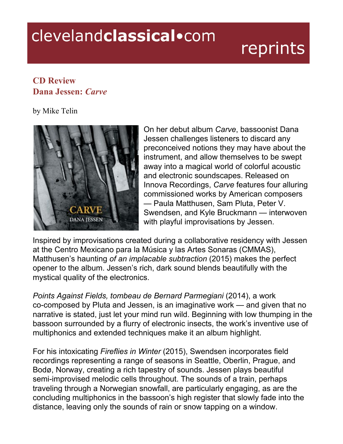## clevelandclassical.com

## reprints

## **CD Review Dana Jessen:** *Carve*

by Mike Telin



On her debut album *Carve*, bassoonist Dana Jessen challenges listeners to discard any preconceived notions they may have about the instrument, and allow themselves to be swept away into a magical world of colorful acoustic and electronic soundscapes. Released on Innova Recordings, *Carve* features four alluring commissioned works by American composers — Paula Matthusen, Sam Pluta, Peter V. Swendsen, and Kyle Bruckmann — interwoven with playful improvisations by Jessen.

Inspired by improvisations created during a collaborative residency with Jessen at the Centro Mexicano para la Música y las Artes Sonaras (CMMAS), Matthusen's haunting *of an implacable subtraction* (2015) makes the perfect opener to the album. Jessen's rich, dark sound blends beautifully with the mystical quality of the electronics.

*Points Against Fields, tombeau de Bernard Parmegiani* (2014), a work co-composed by Pluta and Jessen, is an imaginative work — and given that no narrative is stated, just let your mind run wild. Beginning with low thumping in the bassoon surrounded by a flurry of electronic insects, the work's inventive use of multiphonics and extended techniques make it an album highlight.

For his intoxicating *Fireflies in Winter* (2015), Swendsen incorporates field recordings representing a range of seasons in Seattle, Oberlin, Prague, and Bodø, Norway, creating a rich tapestry of sounds. Jessen plays beautiful semi-improvised melodic cells throughout. The sounds of a train, perhaps traveling through a Norwegian snowfall, are particularly engaging, as are the concluding multiphonics in the bassoon's high register that slowly fade into the distance, leaving only the sounds of rain or snow tapping on a window.